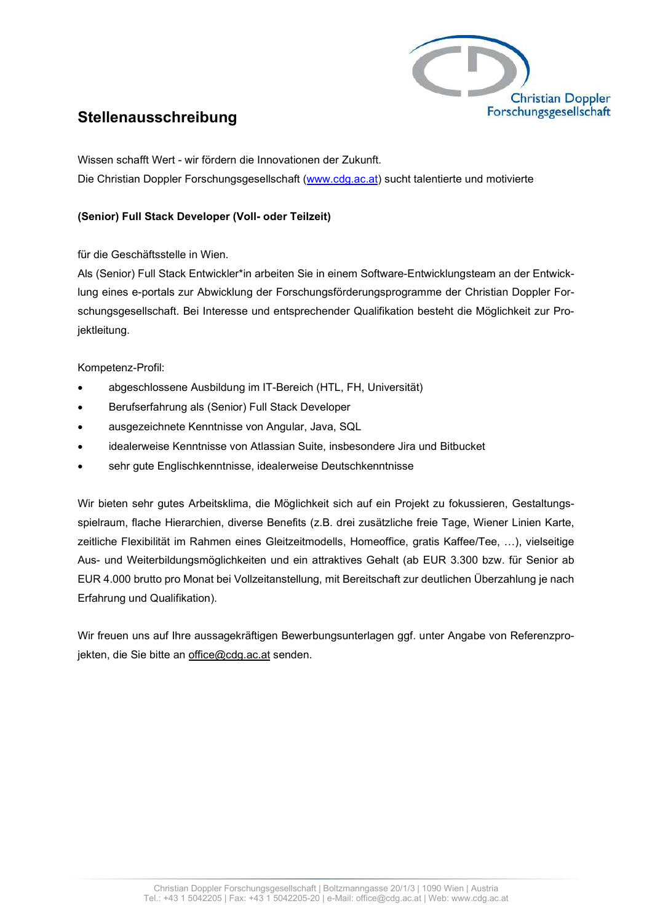

## **Stellenausschreibung**

Wissen schafft Wert - wir fördern die Innovationen der Zukunft. Die Christian Doppler Forschungsgesellschaft (www.cdg.ac.at) sucht talentierte und motivierte

## **(Senior) Full Stack Developer (Voll- oder Teilzeit)**

für die Geschäftsstelle in Wien.

Als (Senior) Full Stack Entwickler\*in arbeiten Sie in einem Software-Entwicklungsteam an der Entwicklung eines e-portals zur Abwicklung der Forschungsförderungsprogramme der Christian Doppler Forschungsgesellschaft. Bei Interesse und entsprechender Qualifikation besteht die Möglichkeit zur Projektleitung.

Kompetenz-Profil:

- abgeschlossene Ausbildung im IT-Bereich (HTL, FH, Universität)
- Berufserfahrung als (Senior) Full Stack Developer
- ausgezeichnete Kenntnisse von Angular, Java, SQL
- idealerweise Kenntnisse von Atlassian Suite, insbesondere Jira und Bitbucket
- sehr gute Englischkenntnisse, idealerweise Deutschkenntnisse

Wir bieten sehr gutes Arbeitsklima, die Möglichkeit sich auf ein Projekt zu fokussieren, Gestaltungsspielraum, flache Hierarchien, diverse Benefits (z.B. drei zusätzliche freie Tage, Wiener Linien Karte, zeitliche Flexibilität im Rahmen eines Gleitzeitmodells, Homeoffice, gratis Kaffee/Tee, …), vielseitige Aus- und Weiterbildungsmöglichkeiten und ein attraktives Gehalt (ab EUR 3.300 bzw. für Senior ab EUR 4.000 brutto pro Monat bei Vollzeitanstellung, mit Bereitschaft zur deutlichen Überzahlung je nach Erfahrung und Qualifikation).

Wir freuen uns auf Ihre aussagekräftigen Bewerbungsunterlagen ggf. unter Angabe von Referenzprojekten, die Sie bitte an office@cdg.ac.at senden.